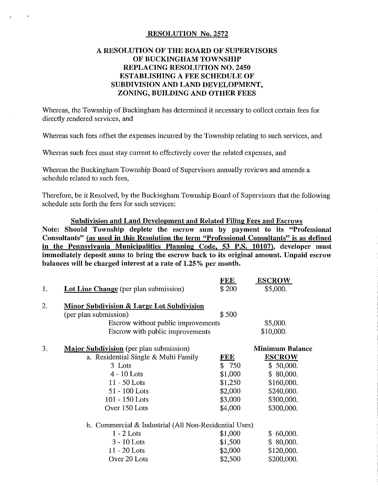#### RESOLUTION No. 2572

#### A RESOLUTION OF THE BOARD OF SUPERVISORS OF BUCKINGHAM TOWNSHIP REPLACING RESOLUTION NO. 2450 ESTABLISHING A FEE SCHEDULE OF SUBDIVISION AND LAND DEVELOPMENT, ZONING, BUILDING AND OTHER FEES

Whereas, the Township of Buckingham has determined it necessary to collect certain fees for directly rendered services, and

Whereas such fees offset the expenses incurred by the Township relating to sueh services, and

Whereas such fees must stay current to effectively cover the related expenses, and

Whereas the Buckingham Township Board of Supervisors annually reviews and amends a schedule related to sueh fees,

Therefore, be it Resolved, by the Buckingham Township Board of Supervisors that the following schedule sets forth the fees for such services:

Subdivision and Land Development and Related Filing Fees and Escrows Note: Should Township deplete the escrow sum by payment to its "Professional Consultants" (as used in this Resolution the term "Professional Consultants" is as defined in the Pennsylvania Municipalities Planning Code, 53 P.S. 10107), developer must immediately deposit sums to bring the escrow back to its original amount. Unpaid escrow balances will be charged interest at a rate of 1.25% per month.

|                                                       | <b>FEL</b> | <b>ESCROW</b>          |
|-------------------------------------------------------|------------|------------------------|
| <b>Lot Line Change</b> (per plan submission)          | \$200      | \$5,000.               |
| Minor Subdivision & Large Lot Subdivision             |            |                        |
| (per plan submission)                                 | \$500      |                        |
| Escrow without public improvements                    |            | \$5,000.               |
| Escrow with public improvements                       |            | \$10,000.              |
| <b>Major Subdivision</b> (per plan submission)        |            | <b>Minimum Balance</b> |
| a. Residential Single & Multi Family                  | <b>FEE</b> | <b>ESCROW</b>          |
| 3 Lots                                                | \$750      | \$50,000.              |
| $4 - 10$ Lots                                         | \$1,000    | \$80,000.              |
| $11 - 50$ Lots                                        | \$1,250    | \$160,000.             |
| 51 - 100 Lots                                         | \$2,000    | \$240,000.             |
| $101 - 150$ Lots                                      | \$3,000    | \$300,000.             |
| Over 150 Lots                                         | \$4,000    | \$300,000.             |
| b. Commercial & Industrial (All Non-Residential Uses) |            |                        |
| $1 - 2$ Lots                                          | \$1,000    | \$60,000.              |
| $3 - 10$ Lots                                         | \$1,500    | \$80,000.              |
| $11 - 20$ Lots                                        | \$2,000    | \$120,000.             |
| Over 20 Lots                                          | \$2,500    | \$200,000.             |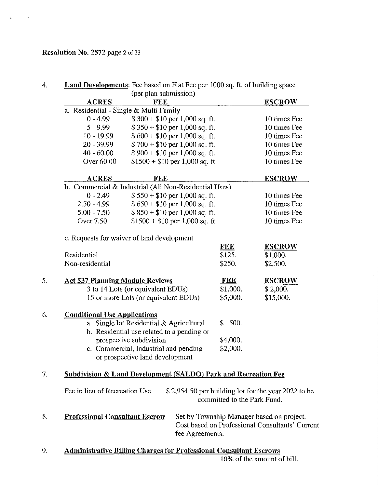# Resolution No. 2572 page 2 of 23

l,

 $\ddot{\phantom{a}}$ 

|                                        | (per plan submission)                                                     |                             |                                                                                              |
|----------------------------------------|---------------------------------------------------------------------------|-----------------------------|----------------------------------------------------------------------------------------------|
| <b>ACRES</b>                           | <b>FEE</b>                                                                |                             | <b>ESCROW</b>                                                                                |
| a. Residential - Single & Multi Family |                                                                           |                             |                                                                                              |
| $0 - 4.99$                             | $$300 + $10$ per 1,000 sq. ft.                                            |                             | 10 times Fee                                                                                 |
| $5 - 9.99$                             | $$350 + $10$ per 1,000 sq. ft.                                            |                             | 10 times Fee                                                                                 |
| $10 - 19.99$                           | $$600 + $10$ per 1,000 sq. ft.                                            |                             | 10 times Fee                                                                                 |
| $20 - 39.99$                           | $$700 + $10$ per 1,000 sq. ft.                                            |                             | 10 times Fee                                                                                 |
| $40 - 60.00$                           | $$900 + $10$ per 1,000 sq. ft.                                            |                             | 10 times Fee                                                                                 |
| Over 60.00                             | $$1500 + $10$ per 1,000 sq. ft.                                           |                             | 10 times Fee                                                                                 |
| <b>ACRES</b>                           | <b>FEE</b>                                                                |                             | <b>ESCROW</b>                                                                                |
|                                        | b. Commercial & Industrial (All Non-Residential Uses)                     |                             |                                                                                              |
| $0 - 2.49$                             | $$550 + $10$ per 1,000 sq. ft.                                            |                             | 10 times Fee                                                                                 |
| $2.50 - 4.99$                          | $$650 + $10$ per 1,000 sq. ft.                                            |                             | 10 times Fee                                                                                 |
| $5.00 - 7.50$                          | $$850 + $10$ per 1,000 sq. ft.                                            |                             | 10 times Fee                                                                                 |
| <b>Over 7.50</b>                       | $$1500 + $10$ per 1,000 sq. ft.                                           |                             | 10 times Fee                                                                                 |
|                                        | c. Requests for waiver of land development                                |                             |                                                                                              |
|                                        |                                                                           | <u>FEE</u>                  | <b>ESCROW</b>                                                                                |
| Residential                            |                                                                           | \$125.                      | \$1,000.                                                                                     |
| Non-residential                        |                                                                           | \$250.                      | \$2,500.                                                                                     |
| <b>Act 537 Planning Module Reviews</b> |                                                                           | <b>FEE</b>                  | <b>ESCROW</b>                                                                                |
|                                        | 3 to 14 Lots (or equivalent EDUs)                                         | \$1,000.                    | \$2,000.                                                                                     |
|                                        | 15 or more Lots (or equivalent EDUs)                                      | \$5,000.                    | \$15,000.                                                                                    |
| <b>Conditional Use Applications</b>    |                                                                           |                             |                                                                                              |
|                                        | a. Single lot Residential & Agricultural                                  | 500.<br>\$.                 |                                                                                              |
|                                        | b. Residential use related to a pending or                                |                             |                                                                                              |
|                                        | prospective subdivision                                                   | \$4,000.                    |                                                                                              |
|                                        | c. Commercial, Industrial and pending                                     | \$2,000.                    |                                                                                              |
|                                        | or prospective land development                                           |                             |                                                                                              |
|                                        | <b>Subdivision &amp; Land Development (SALDO) Park and Recreation Fee</b> |                             |                                                                                              |
|                                        |                                                                           |                             |                                                                                              |
| Fee in lieu of Recreation Use          |                                                                           | committed to the Park Fund. | \$2,954.50 per building lot for the year 2022 to be                                          |
| <b>Professional Consultant Escrow</b>  |                                                                           | fee Agreements.             | Set by Township Manager based on project.<br>Cost based on Professional Consultants' Current |
|                                        | <b>Administrative Billing Charges for Professional Consultant Escrows</b> |                             |                                                                                              |
|                                        |                                                                           |                             | 10% of the amount of bill.                                                                   |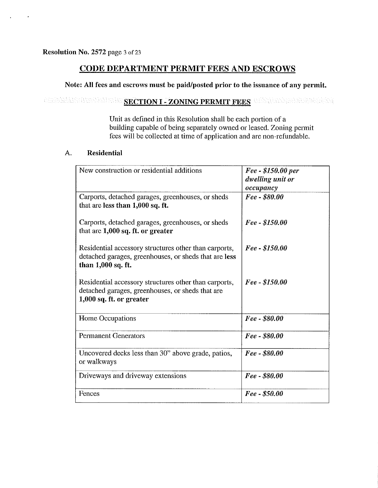# CODE DEPARTMENT PERMIT FEES AND ESCROWS

### Note: All fees and escrows must be paid/posted prior to the issuance of any permit.

# SECTION I - ZONING PERMIT FEES

Unit as defined in this Resolution shall be each portion of a building capable of being separately owncd or leased. Zoning permit fees will be collected at time of application and are non-refundable.

#### A. Residential

| New construction or residential additions                                                                                             | Fee - \$150.00 per<br>dwelling unit or<br>occupancy |
|---------------------------------------------------------------------------------------------------------------------------------------|-----------------------------------------------------|
| Carports, detached garages, greenhouses, or sheds<br>that are less than 1,000 sq. ft.                                                 | Fee - \$80.00                                       |
| Carports, detached garages, greenhouses, or sheds<br>that are $1,000$ sq. ft. or greater                                              | Fee - \$150.00                                      |
| Residential accessory structures other than carports,<br>detached garages, greenhouses, or sheds that are less<br>than 1,000 sq. ft.  | Fee - \$150.00                                      |
| Residential accessory structures other than carports,<br>detached garages, greenhouses, or sheds that are<br>1,000 sq. ft. or greater | Fee - \$150.00                                      |
| Home Occupations                                                                                                                      | Fee - \$80.00                                       |
| <b>Permanent Generators</b>                                                                                                           | Fee - \$80.00                                       |
| Uncovered decks less than 30" above grade, patios,<br>or walkways                                                                     | Fee - \$80.00                                       |
| Driveways and driveway extensions                                                                                                     | Fee - \$80.00                                       |
| Fences                                                                                                                                | Fee - \$50.00                                       |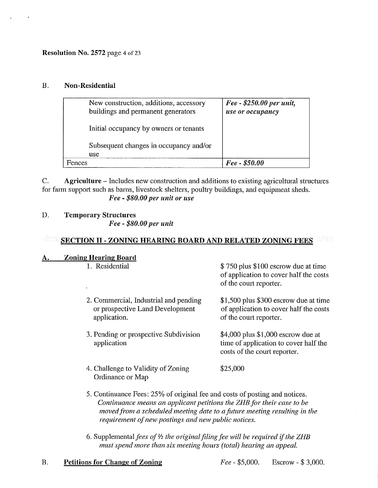Resolution No. 2572 page 4 of 23

#### B. Non-Residential

| New construction, additions, accessory<br>buildings and permanent generators | Fee - \$250.00 per unit,<br>use or occupancy |
|------------------------------------------------------------------------------|----------------------------------------------|
| Initial occupancy by owners or tenants                                       |                                              |
| Subsequent changes in occupancy and/or<br><i>use</i>                         |                                              |
| <b>Fences</b>                                                                | $Fee - $50.00$                               |

C. Agriculture - Includes new construction and additions to existing agricultural structures for farm support such as barns, livestock shelters, poultry buildings, and equipment sheds. *Fee* - *\$80.00 pel' unit* 01' *lise* 

### D. Temporary Structures

*Fee* - *\$80.00 pel' unit* 

#### 85 SECTION II - ZONING HEARING BOARD AND RELATED ZONING FEES

#### A. **Zoning Hearing Board**

1. Residential

- 2. Commercial, Industrial and pending or prospective Land Development application.
- 3. Pending or prospective Subdivision application

\$ 750 plus \$100 cscrow due at time of application to cover half the costs of the court reporter.

\$1,500 plus \$300 escrow due at time of application to cover half the costs of the court reporter.

\$4,000 plus \$1,000 escrow due at time of application to cover half thc costs of the court reporter.

- 4. Challenge to Validity of Zoning Ordinance or Map \$25,000
- 5. Continuance Fees: 25% of original fee and costs of posting and noticcs. *Continuance means an applicant petitions the ZHB for their case to be moved from a scheduled meeting date to afuture meeting resulting in the requirement of new postings and new public notices.*
- *6. Supplementalfees ofY, the originalfilingfee will be required* if *the ZHB must spend more than six meeting hours (total) hearing an appeal.*

#### B.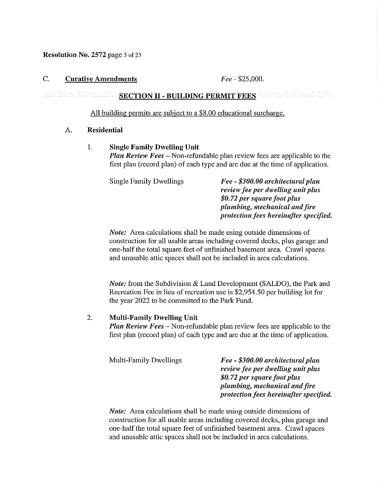Resolution No. 2572 page 5 of 23

#### C. Curative Amendments *Fee* - \$25,000.

#### teren hari ile ne here e altri d SECTION II - BUILDING PERMIT FEES

#### All building permits are subject to a \$8.00 educational surcharge.

#### A. Residential

#### 1. Single Family Dwelling Unit

*Plan Review Fees* - Non-refundable plan review fees are applicable to the first plan (record plan) of each type and are due at the time of application.

| <b>Single Family Dwellings</b> | Fee - \$300.00 architectural plan      |
|--------------------------------|----------------------------------------|
|                                | review fee per dwelling unit plus      |
|                                | \$0.72 per square foot plus            |
|                                | plumbing, mechanical and fire          |
|                                | protection fees hereinafter specified. |

*Note:* Area calculations shall be made using outside dimensions of construction for all usable areas including covered decks, plus garage and one-half the total square feet of unfinished basement area. Crawl spaces and unusable attic spaces shall not be included in area calculations.

*Note:* from the Subdivision & Land Development (SALDO), the Park and Recreation Fee in lieu of recreation use is \$2,954.50 per building lot for the year 2022 to be committed to the Park Fund.

#### 2. Multi-Family Dwelling Unit

*Plan Review Fees* - Non-refundable plan review fees are applicable to the first plan (record plan) of each type and are due at the time of application.

| Multi-Family Dwellings | Fee - \$300.00 architectural plan      |
|------------------------|----------------------------------------|
|                        | review fee per dwelling unit plus      |
|                        | \$0.72 per square foot plus            |
|                        | plumbing, mechanical and fire          |
|                        | protection fees hereinafter specified. |

*Note:* Area calculations shall be made using outside dimensions of construction for all usable areas including covered decks, plus garage and one-half the total square feet of unfinished basement area. Crawl spaces and unusable attic spaces shall not be included in area calculations.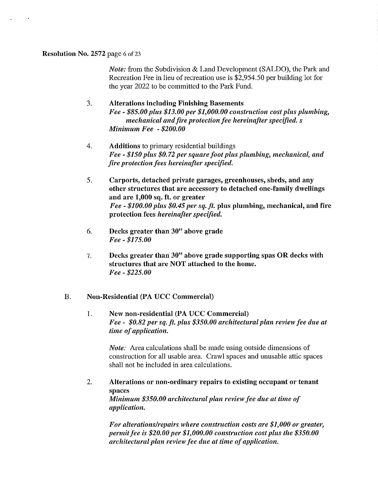#### Resolution No. 2572 page 6 of 23

*Note:* from the Subdivision & Land Development (SALDO), the Park and Recreation Fee in lieu of recreation use is \$2,954.50 per building lot for the year 2022 to be committed to the Park Fund.

#### 3. Alterations including Finishing Basements

*Fee* - *\$85.00 plus \$13.00 per \$1,000.00 construction cost plus plumbing, mechanical and fire protection fee hereinafter specified.* s *Minimum Fee* - *\$200.00* 

- 4. Additions to primary residential buildings *Fee* - *\$150 plus \$0.72 per square foot plus plumbing, mechanical, and fire protection fees hereinafter specified.*
- 5. Carports, detached private garages, greenhouses, sheds, and any other structures that are accessory to detached one-family dwellings and are 1,000 sq. ft. or greater *Fee* - *\$100.00 plus \$0.45 per sq. ft.* plus plumbing, mechanical, and fire protection fees *hereinafter specified.*
- 6. Decks greater than  $30$ " above grade *Fee* - *\$175.00*
- 7. Decks greater than 30" above grade supporting spas OR decks with structures that are NOT attached to the home. *Fee* - *\$225.00*

#### B. Non-Residential (PA UCC Commercial)

1. New non-residential (PA UCC Commercial) *Fee* - *\$0.82 per sq. ft. plus \$350.00 architectural plan review fee due at time of application.* 

*Note:* Area calculations shall be made using outside dimensions of construction for all usable area. Crawl spaces and unusable attic spaces shall not be included in area calculations.

2. Alterations or non-ordinary repairs to existing occupant or tenant spaces *Minimum \$350.00 architectural plan review fee due at time of application.* 

*For alterationsirepairs where construction costs are \$1,000 or greater, permit fee* is *\$20.00 per \$1,000.00 construction cost plus the \$350.00 architectural plan review fee dlle at time of application.*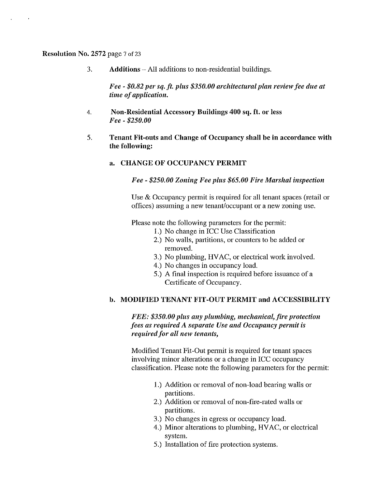#### Resolution No. 2572 page 7 of 23

3. Additions - All additions to non-residential buildings.

Fee - \$0.82 per sq. ft. plus \$350.00 architectural plan review fee due at *time of application.* 

- 4. Non-Residential Accessory Buildings 400 sq. ft. or less *Fee* - *\$250.00*
- 5. Tenant Fit-outs and Change of Occupancy shall be in accordance with the following:
	- a. CHANGE OF OCCUPANCY PERMIT

*Fee* - *\$250.00 Zoning Fee plus \$65.00 Fire Marshal inspection* 

Use & Occupancy permit is required for all tenant spaces (retail or offices) assuming a new tenant/occupant or a new zoning use.

Please note the following parameters for the permit:

- I.) No change in ICC Use Classification
- 2.) No walls, partitions, or counters to be added or removed.
- 3.) No plumbing, HVAC, or electrical work involved.
- 4.) No changes in occupancy load.
- 5.) A final inspection is required before issuance of a Certificate of Occupancy.

#### b. MODIFIED TENANT FIT-OUT PERMIT and ACCESSIBILITY

*FEE: \$350.00 plus any plumbing, mechanical, fire protection fees as required A separate Use and Occupancy permit is required for all new tenants,* 

Modified Tenant Fit-Out permit is required for tenant spaces involving minor alterations or a change in ICC occupancy classification. Please note the following parameters for the permit:

- I.) Addition or removal of non-load bearing walls or partitions.
- 2.) Addition or removal of non-fire-rated walls or partitions.
- 3.) No changes in egress or occupancy load.
- 4.) Minor alterations to plumbing, HVAC, or electrical system.
- 5.) Installation of fire protection systems.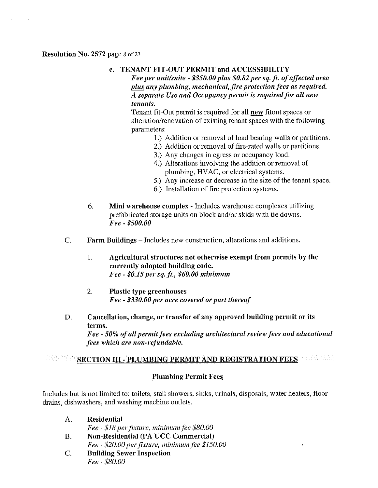#### Resolution No. 2572 page 8 of 23

#### c. TENANT FIT-OUT PERMIT and ACCESSIBILITY

*Fee per unit/suite* - *\$350.00 plus \$0.82 per sq. ft. of affected area plus any plumbing, mechanical, fire protection fees as required. A separate Use and Occupancy permit* is *required for all new tenants.* 

Tenant fit-Out permit is required for all new fitout spaces or alteration/renovation of existing tenant spaces with the following parameters:

- 1.) Addition or removal of load bearing walls or partitions.
- 2.) Addition or removal of fire-rated walls or partitions.
- 3.) Any changes in egress or occupancy load.
- 4.) Alterations involving the addition or removal of plumbing, HVAC, or electrical systems.
- 5.) Any increase or decrease in the size of the tenant space.
- 6.) Installation of fire protection systems.
- 6. Mini warehouse complex Includes warehouse complexes utilizing prefabricated storage units on block and/or skids with tie downs. *Fee* - *\$500.00*
- C. Farm Buildings Includes new construction, alterations and additions.
	- 1. Agricultural structures not otherwise exempt from permits by the currently adopted building code. *Fee - \$0.15 per sq. ft., \$60.00 minimum*
	- 2. Plastic type greenhouses *Fee* - *\$330.00 per acre covered or part thereof*
- D. Cancellation, change, or transfer of any approved building permit or its terms.

*Fee* - *50% of all permit fees excluding architectural review fees and educational fees which are non-refundable.* 

#### Mehning Mar SECTION III - PLUMBING PERMIT AND REGISTRATION FEES

#### Plumbing Permit Fees

Includes but is not limited to: toilets, stall showers, sinks, urinals, disposals, water heaters, floor drains, dishwashers, and washing machine ontlets.

| $\mathsf{A}$ . | <b>Residential</b>                              |
|----------------|-------------------------------------------------|
|                | Fee - \$18 per fixture, minimum fee \$80.00     |
| <b>B.</b>      | Non-Residential (PA UCC Commercial)             |
|                | Fee - \$20.00 per fixture, minimum fee \$150.00 |
| C.             | <b>Building Sewer Inspection</b>                |
|                | Fee - \$80.00                                   |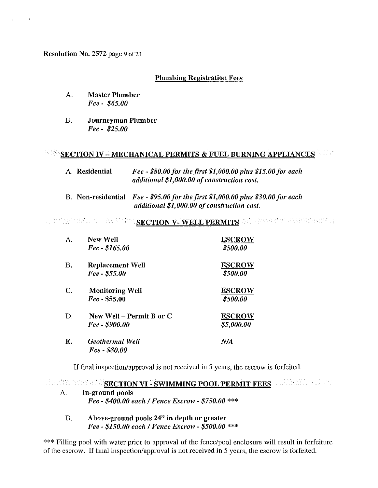Resolution No. 2572 page 9 of 23

### Plumbing Registration Fees

- A. Master Plumber *Fee* - *\$65.00*
- B. Journeyman Plumber *Fee* - *\$25.00*

# SECTION IV - MECHANICAL PERMITS & FUEL BURNING APPLIANCES

- A. Residential *Fee \$80.00 for the first \$1,000.00 plus \$15.00 for each additional \$1,000.00 of construction cost.*
- B. Non-residential *Fee \$95.00 for the first \$1,000.00 plus \$30.00 for each additional \$1,000.00 of construction cost.*

#### SECTION V- WELL PERMITS THE NEW HORSEN BALLAND

| А.        | New Well<br>Fee - \$165.00                 | <b>ESCROW</b><br>\$500.00   |
|-----------|--------------------------------------------|-----------------------------|
| <b>B.</b> | Replacement Well<br>Fee - \$55.00          | <b>ESCROW</b><br>\$500.00   |
| C.        | <b>Monitoring Well</b><br>$Fee - $55.00$   | <b>ESCROW</b><br>\$500.00   |
| D.        | New Well – Permit B or C<br>Fee - \$900.00 | <b>ESCROW</b><br>\$5,000.00 |
| Е.        | <b>Geothermal Well</b><br>Fee - \$80.00    | N/A                         |

If final inspection/approval is not received in 5 years, the escrow is forfeited.

SECTION VI - SWIMMING POOL PERMIT FEES AND ALLOWED AND SECTION VI - SWIMMING POOL PERMIT FEES

- A. In-ground pools *Fee* - *\$400.00 each* / *Fence Escrow* - *\$750.00* \*\*\*
	- B. Above-ground pools 24" in depth or greater *Fee* - *\$150.00 each* / *Fence Escrow* - *\$500.00* \*\*\*

\*\*\* Filling pool with water prior to approval of the fence/pool enclosure will result in forfeiture of the escrow. If final inspection/approval is not received in 5 years, the escrow is forfeited.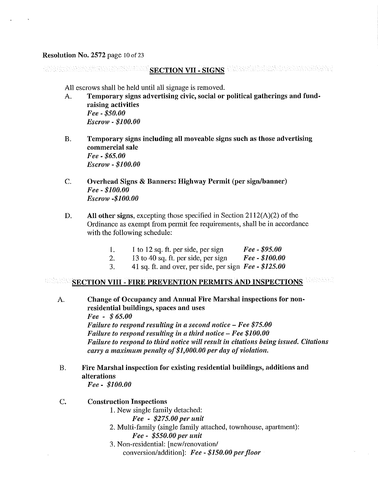#### Resolution No. 2572 page 10 of 23

SECTION VII - SIGNS WARRENT MANAGEMENT WAS ANA ERAHAN MARAN DA

All escrows shall be held until all signage is removed.

- A. Temporary signs advertising civic, social or political gatherings and fundraising activities *Fee -\$50.00 Escrow* - *\$100.00*
- B. Temporary signs including all moveable signs such as those advertising commercial sale *Fee* - *\$65.00 Escrow* - *\$100.00*
- C. Overhead Signs & Banners: Highway Permit (per sign/banner) *Fee* - *\$100.00 Escrow -\$100.00*
- D. All other signs, excepting those specified in Section 2112(A)(2) of the Ordinance as exempt from permit fee requirements, shall be in accordance with the following schedule:
	- I. I to 12 sq. ft. per side, per sign *Fee \$95.00*
	- 2. 13 to 40 sq. ft. per side, per sign *Fee \$100.00*
	- 3. 41 sq. ft. and over, per side, per sign *Fee \$125.00*

#### SECTION VIII - FIRE PREVENTION PERMITS AND INSPECTIONS **WARRER**

- A. Change of Occupancy and Annual Fire Marshal inspections for nonresidential buildings, spaces and uses *Fee* - \$ *65.00 Failure to respond resulting in a second notice – Fee \$75.00 Failure to respond resulting in a third notice – Fee \$100.00 Failure to respond to third notice will result in citations being issued. Citations carry a maximum penalty of \$1,000.00 per day of violation.*
- B. Fire Marshal inspection for existing residential buildings, additions and alterations

*Fee* - *\$100.00* 

- C. Construction Inspections
	- I. New single family detached:
		- *Fee \$275.00 pel' unit*
	- 2. Multi-family (single family attached, townhouse, apartment): *Fee* - *\$550.00 pel' unit*
	- 3. Non-residential: [new/renovation/ conversion/addition]: Fee - \$150.00 per floor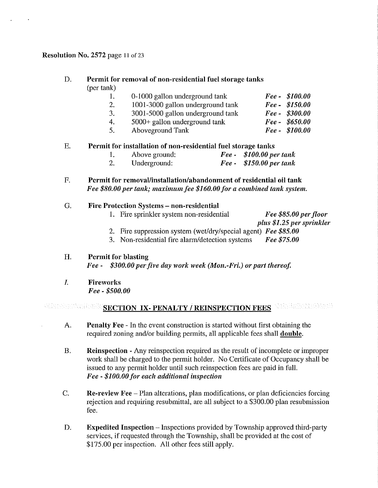#### Resolution No. 2572 page 11 of 23

#### D. Permit for removal of non-residential fuel storage tanks (per tank) 1. 2. 3. 4. 5. 0-1000 gallon underground tank 1001-3000 gallon underground tank 3001-5000 gallon underground tank 5000+ gallon underground tank Aboveground Tank *Fee - \$100.00 Fee - \$150.00 Fee - \$300.00 Fee - \$650.00 Fee - \$100.00*

#### E. Permit for installation of non-residential fuel storage tanks

|                | Above ground: | Fee - $$100.00$ per tank           |
|----------------|---------------|------------------------------------|
| $\overline{a}$ | Underground:  | $\textit{Fee}$ = \$150.00 per tank |

F. Permit for removal/installation/abandonment of residential oil tank *Fee \$80.00 per tank; maximum fee \$160.00 for a combined tank system.* 

#### G. Fire Protection Systems - non-residential

- 1. Fire sprinkler system non-residential *Fee* \$85.00 per floor *plus* \$1.25 *per sprinkler*
- 2. Fire suppression system (wet/dry/special agent) *Fee \$85.00*  3. Non-residential fire alarm/detection systems *Fee \$75.00*

#### H. Permit for blasting

Fee - \$300.00 per five day work week (Mon.-Fri.) or part thereof.

1. Fireworks *Fee* - *\$500.00* 

# SECTION IX-PENALTY / REINSPECTION FEES WELLETTED

- A. Penalty Fee In the event construction is started without first obtaining the required zoning and/or building permits, all applicable fees shall double.
- B. Reinspection Any reinspection required as the result of incomplete or improper work shall be charged to the permit holder. No Certificate of Occupancy shall be issued to any permit holder until such reinspection fees are paid in full. Fee - \$100.00 for each additional inspection
- C. Re-review Fee Plan alterations, plan modifications, or plan deficiencies forcing rejection and requiring resubmittal, are all subject to a \$300.00 plan resnbmission fee.
- D. Expedited Inspection Inspections provided by Township approved third-party services, if requested through the Township, shall be provided at the cost of \$175.00 per inspection. All other fees still apply.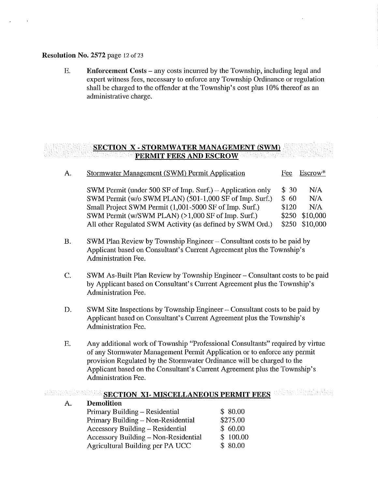#### Resolution No. 2572 page 12 of 23

A.

A.

E. Enforcement Costs - any costs incurred by the Township, including legal and expert witness fees, necessary to enforce any Township Ordinance or regulation shall be charged to the offender at the Township's cost plus 10% thereof as an administrative charge.

#### SECTION X - STORMWATER MANAGEMENT (SWM) **PERMIT FEES AND ESCROW**

| Υ. | Stormwater Management (SWM) Permit Application             | Fee   | Escrow*        |
|----|------------------------------------------------------------|-------|----------------|
|    | SWM Permit (under 500 SF of Imp. Surf.) – Application only | \$30  | N/A            |
|    | SWM Permit (w/o SWM PLAN) (501-1,000 SF of Imp. Surf.)     | \$60  | N/A            |
|    | Small Project SWM Permit (1,001-5000 SF of Imp. Surf.)     | \$120 | N/A            |
|    | SWM Permit (w/SWM PLAN) (>1,000 SF of Imp. Surf.)          | \$250 | \$10,000       |
|    | All other Regulated SWM Activity (as defined by SWM Ord.)  |       | \$250 \$10,000 |

- B. SWM Plan Review by Township Engineer Consultant costs to be paid by Applicant based on Consultant's Current Agreement plus the Township's Administration Fee.
- c. SWM As-Built Plan Review by Township Engineer Consultant costs to be paid by Applicant based on Consultant's Current Agreement plus the Township's Administration Fee.
- D. SWM Site Inspections by Township Engineer Consultant costs to be paid by Applicant based on Consultant's Current Agreement plus the Township's Administration Fee.
- E. Any additional work of Township "Professional Consultants" required by virtue of any Stormwater Management Permit Application or to enforce any permit provision Regulated by the Stormwater Ordinance will be charged to the Applicant based on the Consultant's Current Agreement plus the Township's Administration Fee.

#### SECTION XI- MISCELLANEOUS PERMIT FEES **CARDINAL BELLE**

| <b>Demolition</b>                       |          |
|-----------------------------------------|----------|
| Primary Building - Residential          | \$80.00  |
| Primary Building - Non-Residential      | \$275.00 |
| <b>Accessory Building – Residential</b> | \$60.00  |
| Accessory Building - Non-Residential    | \$100.00 |
| Agricultural Building per PA UCC        | \$80.00  |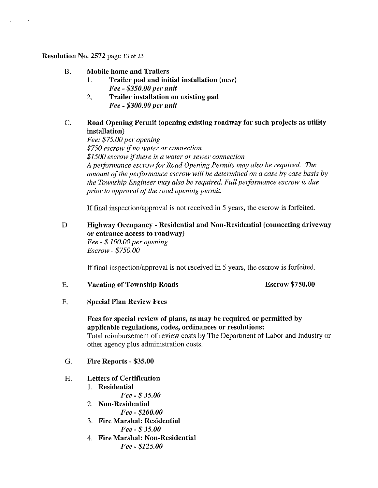#### Resolution No. 2572 page 13 of 23

 $\epsilon$ 

#### B. Mobile home and Trailers

- I. Trailer pad and initial installation (new) *Fee* - *\$350.00 per uuit*
- 2. Trailer installation on existing pad *Fee* - *\$300.00 per unit*

#### C. Road Opening Permit (opening existing roadway for such projects as utility installation)

*Fee: \$75.00 per opening \$750 escrow* if *no water or connection \$1500 escrow* if *there is a water or sewer connection*  A performance escrow for Road Opening Permits may also be required. The amount of the performance escrow will be determined on a case by case basis by *the Township Engineer may also be required. Full performance escrow is due prior to approval of the road opening permit.* 

If final inspection/approval is not received in 5 years, the escrow is forfeited.

#### D Highway Occupancy - Residential and Non-Residential (connecting driveway or entrance access to roadway) *Fee* - \$ *100.00 per opening Escrow* - *\$750.00*

If final inspection/approval is not received in 5 years, the escrow is forfeited.

E. Vacating of Township Roads Escrow \$750.00

F. Special Plan Review Fees

### Fees for special review of plans, as may be required or permitted by applicable regulations, codes, ordinances or resolutions: Total reimbursement of review costs by The Department of Labor and Industry or other agency plus administration costs.

G. Fire Reports - \$35.00

#### H. Letters of Certification

- I. Residential
	- *Fee*  \$ *35.00*
- 2. Non-Residential
	- *Fee \$200.00*
- 3. Fire Marshal: Residential *Fee* - \$ *35.00*
- 4. Fire Marshal: Non-Residential *Fee* - *\$125.00*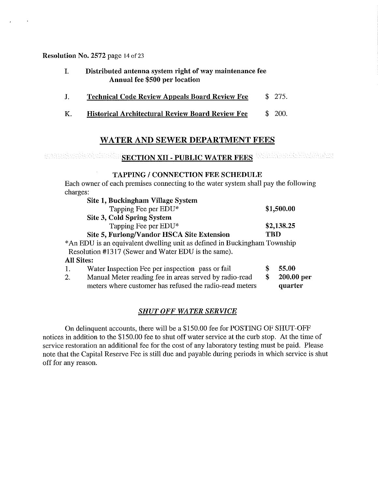Resolution No. 2572 page 14 of 23

 $\sim$ 

- I. Distributed antenna system right of way maintenance fee Annual fee \$500 per location
- J. Technical Code Review Appeals Board Review Fee \$ 275.
- K. Historical Architectural Review Board Review Fee \$ 200.

# WATER AND SEWER DEPARTMENT FEES

# ENDERGRAPHEN SECTION XII - PUBLIC WATER FEES WARD AND RELEASED AND RELEASED AND RELEASED AND RELEASED AND RELEASED AND RELEASED AND RELEASED AND RELEASED AND RELEASED AND RELEASED AND RELEASED AND RELEASED AND RELEASED AND

#### TAPPING / CONNECTION FEE SCHEDULE

Each owner of each premises connecting to the water system shall pay the following charges:

|   | \$1,500.00                                                               |
|---|--------------------------------------------------------------------------|
|   |                                                                          |
|   | \$2,138.25                                                               |
|   |                                                                          |
|   | *An EDU is an equivalent dwelling unit as defined in Buckingham Township |
|   |                                                                          |
|   |                                                                          |
|   | 55.00                                                                    |
| S | 200.00 per                                                               |
|   | quarter                                                                  |
|   | TBD                                                                      |

### *SHUTOFF WATER SERVICE*

On delinquent accounts, there will be a \$150.00 fee for POSTING OF SHUT-OFF notices in addition to the \$150.00 fee to shut off water service at the curb stop. At the time of service restoration an additional fee for the cost of any laboratory testing must be paid. Please note that the Capital Reserve Fee is still due and payable during periods in which service is shut off for any reason.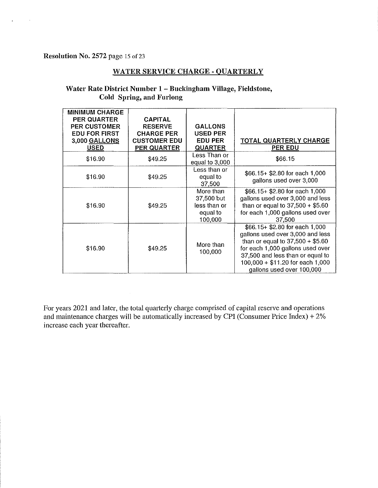Resolution No. 2572 page 15 of 23

 $\sim$ 

 $\sim$ 

#### WATER SERVICE CHARGE - QUARTERLY

#### Water Rate District Number 1- Buckingham Village, Fieldstone, Cold Spring, and Furlong

| <b>MINIMUM CHARGE</b><br><b>PER QUARTER</b><br><b>PER CUSTOMER</b><br><b>EDU FOR FIRST</b><br>3,000 GALLONS<br><b>USED</b> | <b>CAPITAL</b><br><b>RESERVE</b><br><b>CHARGE PER</b><br><b>CUSTOMER EDU</b><br><b>PER QUARTER</b> | <b>GALLONS</b><br><b>USED PER</b><br><b>EDU PER</b><br><b>QUARTER</b> | <b>TOTAL QUARTERLY CHARGE</b><br><b>PER EDU</b>                                                                                                                                                                                                   |
|----------------------------------------------------------------------------------------------------------------------------|----------------------------------------------------------------------------------------------------|-----------------------------------------------------------------------|---------------------------------------------------------------------------------------------------------------------------------------------------------------------------------------------------------------------------------------------------|
| \$16.90                                                                                                                    | \$49.25                                                                                            | Less Than or<br>equal to 3,000                                        | \$66.15                                                                                                                                                                                                                                           |
| \$16.90                                                                                                                    | \$49.25                                                                                            | Less than or<br>equal to<br>37,500                                    | $$66.15 + $2.80$ for each 1,000<br>gallons used over 3,000                                                                                                                                                                                        |
| \$16.90                                                                                                                    | \$49.25                                                                                            | More than<br>37,500 but<br>less than or<br>equal to<br>100,000        | $$66.15+ $2.80$ for each 1,000<br>gallons used over 3,000 and less<br>than or equal to $37,500 + $5.60$<br>for each 1,000 gallons used over<br>37,500                                                                                             |
| \$16.90                                                                                                                    | \$49.25                                                                                            | More than<br>100,000                                                  | \$66.15+ \$2.80 for each 1,000<br>gallons used over 3,000 and less<br>than or equal to $37,500 + $5.60$<br>for each 1,000 gallons used over<br>37,500 and less than or equal to<br>$100,000 + $11.20$ for each 1,000<br>gallons used over 100,000 |

For years 2021 and later, the total quarterly charge comprised of capital reserve and operations and maintenance charges will be automatically increased by CPI (Consumer Price Index) +  $2\%$ increase each year thereafter.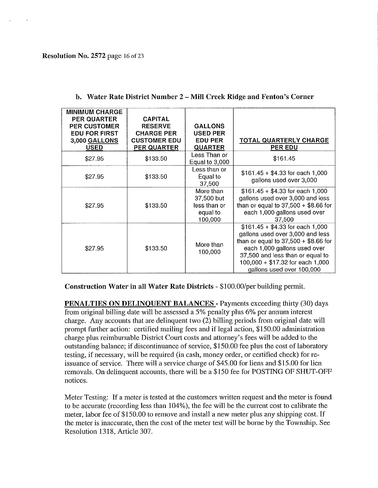| <b>MINIMUM CHARGE</b><br><b>PER QUARTER</b><br><b>PER CUSTOMER</b><br><b>EDU FOR FIRST</b><br>3,000 GALLONS<br>USED | <b>CAPITAL</b><br><b>RESERVE</b><br><b>CHARGE PER</b><br><b>CUSTOMER EDU</b><br>PER QUARTER | <b>GALLONS</b><br><b>USED PER</b><br><b>EDU PER</b><br><b>QUARTER</b> | <b>TOTAL QUARTERLY CHARGE</b><br><b>PER EDU</b>                                                                                                                                                                                                     |
|---------------------------------------------------------------------------------------------------------------------|---------------------------------------------------------------------------------------------|-----------------------------------------------------------------------|-----------------------------------------------------------------------------------------------------------------------------------------------------------------------------------------------------------------------------------------------------|
| \$27.95                                                                                                             | \$133.50                                                                                    | Less Than or<br>Equal to 3,000                                        | \$161.45                                                                                                                                                                                                                                            |
| \$27.95                                                                                                             | \$133.50                                                                                    | Less than or<br>Equal to<br>37,500                                    | $$161.45 + $4.33$ for each 1,000<br>gallons used over 3,000                                                                                                                                                                                         |
| \$27.95                                                                                                             | \$133.50                                                                                    | More than<br>37,500 but<br>less than or<br>equal to<br>100,000        | $$161.45 + $4.33$ for each 1,000<br>gallons used over 3,000 and less<br>than or equal to $37,500 + $8.66$ for<br>each 1,000 gallons used over<br>37,500                                                                                             |
| \$27.95                                                                                                             | \$133.50                                                                                    | More than<br>100,000                                                  | $$161.45 + $4.33$ for each 1,000<br>gallons used over 3,000 and less<br>than or equal to $37,500 + $8.66$ for<br>each 1,000 gallons used over<br>37,500 and less than or equal to<br>$100,000 + $17.32$ for each 1,000<br>gallons used over 100,000 |

b. Water Rate District Number 2 - Mill Creek Ridge and Fenton's Corner

Construction Water in all Water Rate Districts - \$100.00/per building permit.

PENALTIES ON DELINQUENT BALANCES - Payments exceeding thirty (30) days from original billing date will be assessed a 5% penalty plus 6% per annum interest charge. Any accounts that are delinquent two (2) billing periods from original date will prompt further action: certified mailing fees and if legal action, \$150.00 administration charge plus reimbursable District Court costs and attorney's fees will be added to the outstanding balance; if discontinuance of service, \$150.00 fee plus the cost of laboratory testing, if necessary, will be required (in cash, money order, or certified check) for reissuance of service. There will a service charge of \$45.00 for liens and \$15.00 for lien removals. On delinquent accounts, there will be a \$150 fee for POSTING OF SHUT-OFF notices.

Meter Testing: If a meter is tested at the customers written request and the meter is found to be accurate (recording less than 104%), the fee will be the current cost to calibrate the meter, labor fee of \$150.00 to remove and install a new meter plus any shipping cost. If the meter is inaccurate, then the cost of the meter test will be borne by the Township. See Resolution 1318, Article 307.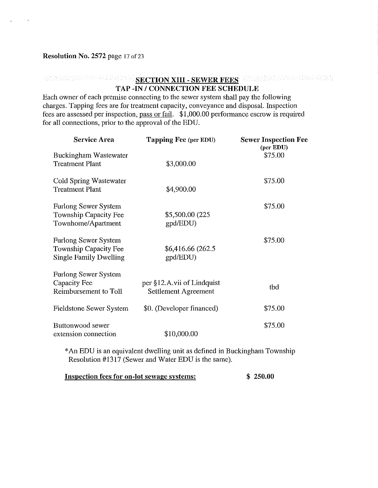#### Resolution No. 2572 page 17 of 23

# SECTION XIII - SEWER FEES WERKWERMAND CONTRACT TAP -IN / CONNECTION FEE SCHEDULE

Each owner of each premise connecting to the sewer system shall pay the following charges. Tapping fees are for treatment capacity, conveyance and disposal. Inspection fees are assessed per inspection, pass or fail. \$1,000.00 perfonnance escrow is required for all connections, prior to the approval of the EDU.

| <b>Service Area</b>                                                                   | <b>Tapping Fee (per EDU)</b>                              | <b>Sewer Inspection Fee</b><br>(per EDU) |
|---------------------------------------------------------------------------------------|-----------------------------------------------------------|------------------------------------------|
| Buckingham Wastewater<br><b>Treatment Plant</b>                                       | \$3,000.00                                                | \$75.00                                  |
| Cold Spring Wastewater<br><b>Treatment Plant</b>                                      | \$4,900.00                                                | \$75.00                                  |
| Furlong Sewer System<br>Township Capacity Fee<br>Townhome/Apartment                   | \$5,500.00 (225)<br>gpd/EDU)                              | \$75.00                                  |
| <b>Furlong Sewer System</b><br>Township Capacity Fee<br><b>Single Family Dwelling</b> | \$6,416.66 (262.5)<br>gpd/EDU)                            | \$75.00                                  |
| <b>Furlong Sewer System</b><br>Capacity Fee<br>Reimbursement to Toll                  | per §12.A.vii of Lindquist<br><b>Settlement Agreement</b> | tbd                                      |
| Fieldstone Sewer System                                                               | \$0. (Developer financed)                                 | \$75.00                                  |
| Buttonwood sewer<br>extension connection                                              | \$10,000.00                                               | \$75.00                                  |

\* An EDU is an equivalent dwelling unit as defined in Buckingham Township Resolution #1317 (Sewer and Water EDU is the same).

Inspection fees for on-lot sewage systems: \$ 250.00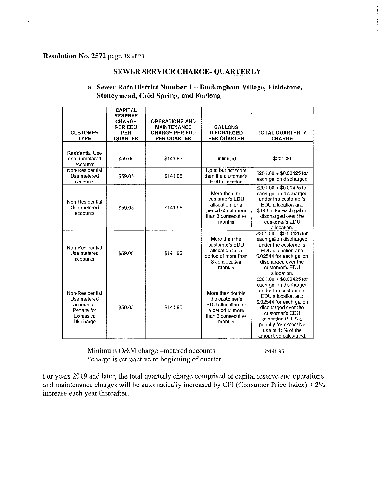#### Resolution No. 2572 page 18 of 23

#### SEWER SERVICE CHARGE- QUARTERLY

| <b>CUSTOMER</b><br><b>TYPE</b>                                                        | <b>CAPITAL</b><br><b>RESERVE</b><br><b>CHARGE</b><br>PER EDU<br>PER<br><b>QUARTER</b> | <b>OPERATIONS AND</b><br><b>MAINTENANCE</b><br><b>CHARGE PER EDU</b><br><b>PER QUARTER</b> | <b>GALLONS</b><br><b>DISCHARGED</b><br><b>PER QUARTER</b>                                                    | <b>TOTAL QUARTERLY</b><br><b>CHARGE</b>                                                                                                                                                                                                                           |
|---------------------------------------------------------------------------------------|---------------------------------------------------------------------------------------|--------------------------------------------------------------------------------------------|--------------------------------------------------------------------------------------------------------------|-------------------------------------------------------------------------------------------------------------------------------------------------------------------------------------------------------------------------------------------------------------------|
|                                                                                       |                                                                                       |                                                                                            |                                                                                                              |                                                                                                                                                                                                                                                                   |
| <b>Residential Use</b><br>and unmetered<br>accounts                                   | \$59.05                                                                               | \$141.95                                                                                   | unlimited                                                                                                    | \$201.00                                                                                                                                                                                                                                                          |
| Non-Residential<br>Use metered<br>accounts                                            | \$59.05                                                                               | \$141.95                                                                                   | Up to but not more<br>than the customer's<br>EDU allocation                                                  | $$201.00 + $0.00425$ for<br>each gallon discharged                                                                                                                                                                                                                |
| Non-Residential<br>Use metered<br>accounts                                            | \$59.05                                                                               | \$141.95                                                                                   | More than the<br>customer's EDU<br>allocation for a<br>period of not more<br>than 3 consecutive<br>months    | $$201.00 + $0.00425$ for<br>each gallon discharged<br>under the customer's<br>EDU allocation and<br>\$.0085 for each gallon<br>discharged over the<br>customer's EDU<br>allocation.                                                                               |
| Non-Residential<br>Use metered<br>accounts                                            | \$59.05                                                                               | \$141.95                                                                                   | More than the<br>customer's EDU<br>allocation for a<br>period of more than<br>3 consecutive<br>months        | \$201.00 + \$0.00425 for<br>each gallon discharged<br>under the customer's<br>EDU allocation and<br>\$.02544 for each gallon<br>discharged over the<br>customer's EDU<br>allocation.                                                                              |
| Non-Residential<br>Use metered<br>accounts -<br>Penalty for<br>Excessive<br>Discharge | \$59.05                                                                               | \$141.95                                                                                   | More than double<br>the customer's<br>EDU allocation for<br>a period of more<br>than 6 consecutive<br>months | $$201.00 + $0.00425$ for<br>each gallon discharged<br>under the customer's<br>EDU allocation and<br>\$.02544 for each gallon<br>discharged over the<br>customer's EDU<br>allocation PLUS a<br>penalty for excessive<br>use of 10% of the<br>amount so calculated. |

#### a. Sewer Rate District Number 1 - Buckingham Village, Fieldstone, Stoneymead, Cold Spring, and Furlong

Minimum O&M charge -metered accounts \*charge is retroactive to beginning of quarter

\$141.95

For years 2019 and later, the total quarterly charge comprised of capital rescrve and operations and maintenance charges will be automatically increased by CPI (Consumer Price Index)  $+2\%$ increase each year thereafter.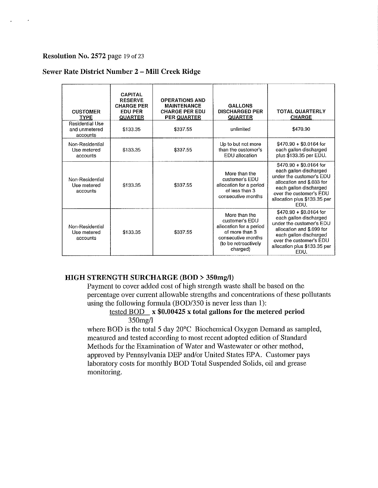#### Resolution No. 2572 page 19 of 23

#### Sewer Rate District Number 2 - Mill Creek Ridge

| <b>CUSTOMER</b><br><b>TYPE</b>                      | <b>CAPITAL</b><br><b>RESERVE</b><br><b>CHARGE PER</b><br><b>EDU PER</b><br><b>QUARTER</b> | <b>OPERATIONS AND</b><br><b>MAINTENANCE</b><br><b>CHARGE PER EDU</b><br><b>PER QUARTER</b> | <b>GALLONS</b><br><b>DISCHARGED PER</b><br><b>QUARTER</b>                                                                              | <b>TOTAL QUARTERLY</b><br><b>CHARGE</b>                                                                                                                                                                 |
|-----------------------------------------------------|-------------------------------------------------------------------------------------------|--------------------------------------------------------------------------------------------|----------------------------------------------------------------------------------------------------------------------------------------|---------------------------------------------------------------------------------------------------------------------------------------------------------------------------------------------------------|
| <b>Residential Use</b><br>and unmetered<br>accounts | \$133.35                                                                                  | \$337.55                                                                                   | unlimited                                                                                                                              | \$470.90                                                                                                                                                                                                |
| Non-Residential<br>Use metered<br>accounts          | \$133.35                                                                                  | \$337.55                                                                                   | Up to but not more<br>than the customer's<br>EDU allocation                                                                            | $$470.90 + $0.0164$ for<br>each gallon discharged<br>plus \$133.35 per EDU.                                                                                                                             |
| Non-Residential<br>Use metered<br>accounts          | \$133.35                                                                                  | \$337.55                                                                                   | More than the<br>customer's EDU<br>allocation for a period<br>of less than 3<br>consecutive months                                     | $$470.90 + $0.0164$ for<br>each gallon discharged<br>under the customer's EDU<br>allocation and \$.033 for<br>each gallon discharged<br>over the customer's EDU<br>allocation plus \$133.35 per<br>FDU. |
| Non-Residential<br>Use metered<br>accounts          | \$133.35                                                                                  | \$337.55                                                                                   | More than the<br>customer's EDU<br>allocation for a period<br>of more than 3<br>consecutive months<br>(to be retroactively<br>charged) | $$470.90 + $0.0164$ for<br>each gallon discharged<br>under the customer's EDU<br>allocation and \$.099 for<br>each gallon discharged<br>over the customer's EDU<br>allocation plus \$133.35 per<br>EDU. |

#### HIGH STRENGTH SURCHARGE (BOD > 350mg/l)

Payment to cover added cost of high strength waste shall be based on the percentage over current allowable strengths and concentrations of these pollutants using the following formula (BOD/350 is never less than 1):

#### tested BOD x \$0.00425 x total gallons for the metered period 350mg/1

where BOD is the total 5 day 20°C Biochemical Oxygen Demand as sampled, measured and tested according to most recent adopted edition of Standard Methods for the Examination of Water and Wastewater or other method, approved by Pennsylvania DEP and/or United States EPA. Customer pays laboratory costs for monthly BOD Total Suspended Solids, oil and grease monitoring.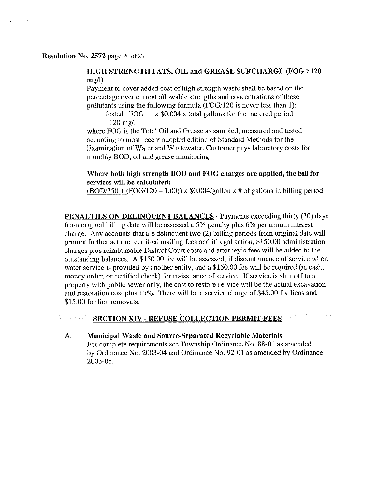### HIGH STRENGTH FATS, OIL and GREASE SURCHARGE (FOG >120 mg/l)

Payment to cover added cost of high strength waste shall be based on the percentage over current allowable strengths and concentrations of these pollutants using the following formula (FOG/120 is never less than 1):

Tested  $FOG \times $0.004 \times \text{total gallons}$  for the metered period 120 mg/I

where FOG is the Total Oil and Grease as sampled, measured and tested according to most recent adopted edition of Standard Methods for the Examination of Water and Wastewater. Customer pays laboratory costs for monthly BOD, oil and grease monitoring.

#### Where both high strength BOD and FOG charges are applied, the bill for services will be calculated:

 $(BOD/350 + (FOG/120 - 1.00))$  x \$0.004/gallon x # of gallons in billing period

PENALTIES ON DELINQUENT BALANCES - Payments exceeding thirty (30) days from original billing date will be assessed a 5% penalty plus 6% per annum interest charge. Any accounts that are delinquent two (2) billing periods from original date will prompt further action: certified mailing fees and if legal action, \$150.00 administration charges plus reimbursable District Court costs and attorney's fees will be added to the outstanding balances. A \$150.00 fee will be assessed; if discontinuance of service where water service is provided by another entity, and a \$150.00 fee will be required (in cash, money order, or certified check) for re-issuance of service. If service is shut off to a property with public sewer only, the cost to restore service will be the actual excavation and restoration cost plus 15%. There will be a service charge of \$45.00 for liens and \$15.00 for lien removals.

#### **Almaktöbblaker** Webhinkhamed SECTION XIV - REFUSE COLLECTION PERMIT FEES

A. Municipal Waste and Source-Separated Recyclable Materials-For complete requirements see Township Ordinance No. 88-01 as amended by Ordinance No. 2003-04 and Ordinance No. 92-01 as amended by Ordinance 2003-05.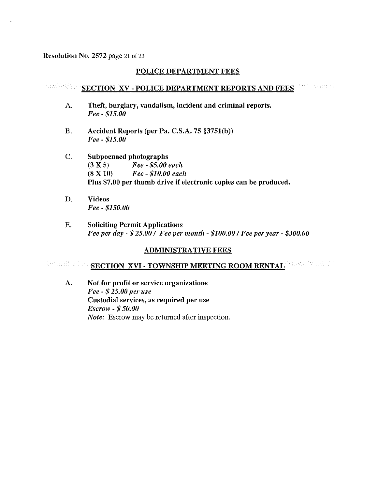#### Resolution No. 2572 page 21 of 23

 $\Delta$ 

#### POLICE DEPARTMENT FEES

#### SECTION XV - POLICE DEPARTMENT REPORTS AND FEES

- A. Theft, burglary, vandalism, incident and criminal reports. *Fee- \$15.00*
- B. Accident Reports (per Pa. C.S.A. 75 §3751(b)) *Fee- \$15.00*
- C. Subpoenaed photographs (3 X 5) *Fee* - *\$5.00 each*  (8 X 10) *Fee* - *\$10.00 each*  Plus \$7.00 per thumb drive if electronic copies can be produced.
- D. Videos *Fee* - *\$150.00*
- E. Soliciting Permit Applications *Fee per day* - \$ *25.00* / *Fee per month* - *\$100.00/ Fee per year* - *\$300.00*

#### ADMINISTRATIVE FEES

# SECTION XVI - TOWNSHIP MEETING ROOM RENTAL

A. Not for profit or service organizations *Fee* - \$ *25.00 per lise*  Custodial services, as required per use *Escrow* - \$ *50.00 Note:* Escrow may be returned after inspection.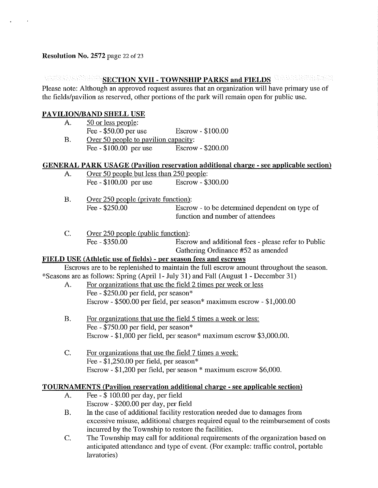$\Delta$ 

# **MEETION XVII - TOWNSHIP PARKS and FIELDS AND RECTION XVII - TOWNSHIP PARKS and FIELDS**

Please note: Although an approved request assures that an organization will have primary use of the fields/pavilion as reserved, other portions of the park will remain open for public use.

# PAVILION/BAND SHELL USE

A. 50 or less people: Fee - \$50.00 per use Escrow - \$100.00 B. Over 50 people to pavilion capacity: Fee - \$100.00 per use Escrow - \$200.00

### GENERAL PARK USAGE (Pavilion reservation additional charge - see applicable section)

- A. Over 50 people but less than 250 people: Fee - \$100.00 per use Escrow - \$300.00
- B. Over 250 people (private function): Fee - \$250.00 Escrow - to be determined dependent on type of function and number of attendees
- C. Over 250 people (public function): Fee - \$350.00 Escrow and additional fees - please refer to Public Gathering Ordinance #52 as amended

### FIELD USE (Athletic use of fields) - per season fees and escrows

Escrows are to be replenished to maintain the full escrow amount throughout the season. \*Seasons are as follows: Spring (April 1- July 31) and Fall (August 1 - December 31)

- A. For organizations that use the field 2 times per week or less Fee - \$250.00 per field, per season\* Escrow - \$500.00 per field, per season\* maximum escrow - \$1,000.00
- B. For organizations that use the field 5 times a week or less: Fee - \$750.00 per field, per season\* Escrow - \$1,000 per field, per season\* maximum escrow \$3,000.00.
- C. For organizations that use the field 7 times a week: Fee - \$1,250.00 per field, per season\* Escrow - \$1,200 per field, per season \* maximum escrow \$6,000.

### TOURNAMENTS (Pavilion reservation additional charge - see applicable section)

- A. Fee \$ 100.00 per day, per field Escrow - \$200.00 per day, per field
- B. In the case of additional facility restoration needed due to damages from excessive misuse, additional charges required equal to the reimbursement of costs incurred by the Township to restore the facilities.
- C. The Township may call for additional requirements of the organization based on anticipated attendance and type of event. (For example: traffic control, portable lavatories)